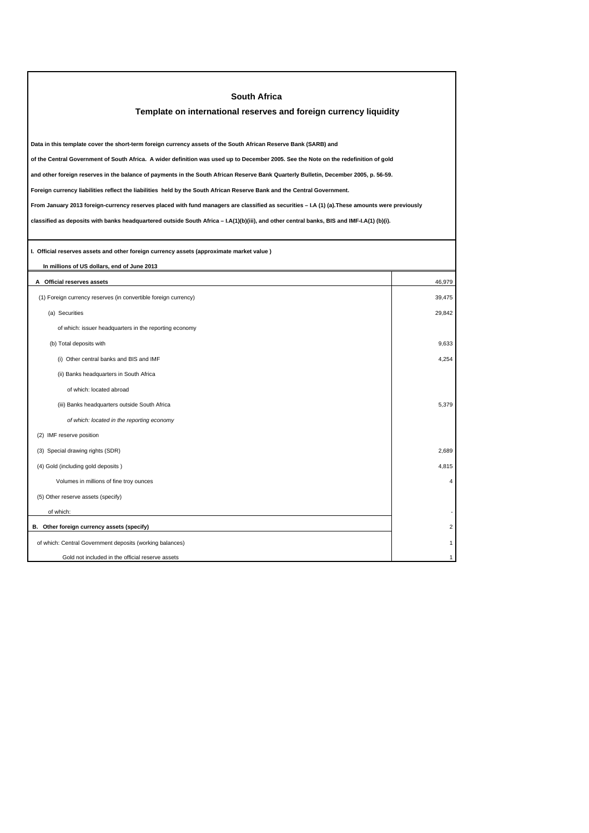| <b>South Africa</b>                                                                                                                             |        |  |
|-------------------------------------------------------------------------------------------------------------------------------------------------|--------|--|
| Template on international reserves and foreign currency liquidity                                                                               |        |  |
|                                                                                                                                                 |        |  |
| Data in this template cover the short-term foreign currency assets of the South African Reserve Bank (SARB) and                                 |        |  |
| of the Central Government of South Africa. A wider definition was used up to December 2005. See the Note on the redefinition of gold            |        |  |
| and other foreign reserves in the balance of payments in the South African Reserve Bank Quarterly Bulletin, December 2005, p. 56-59.            |        |  |
| Foreign currency liabilities reflect the liabilities held by the South African Reserve Bank and the Central Government.                         |        |  |
| From January 2013 foreign-currency reserves placed with fund managers are classified as securities - I.A (1) (a). These amounts were previously |        |  |
| classified as deposits with banks headquartered outside South Africa – I.A(1)(b)(iii), and other central banks, BIS and IMF-I.A(1) (b)(i).      |        |  |
|                                                                                                                                                 |        |  |
| I. Official reserves assets and other foreign currency assets (approximate market value)                                                        |        |  |
| In millions of US dollars, end of June 2013                                                                                                     |        |  |
| A Official reserves assets                                                                                                                      | 46,979 |  |
| (1) Foreign currency reserves (in convertible foreign currency)                                                                                 | 39,475 |  |
| (a) Securities                                                                                                                                  | 29.842 |  |
| of which: issuer headquarters in the reporting economy                                                                                          |        |  |
| (b) Total deposits with                                                                                                                         | 9,633  |  |
| (i) Other central banks and BIS and IMF                                                                                                         | 4,254  |  |
| (ii) Banks headquarters in South Africa                                                                                                         |        |  |
| of which: located abroad                                                                                                                        |        |  |
| (iii) Banks headquarters outside South Africa                                                                                                   | 5,379  |  |
| of which: located in the reporting economy                                                                                                      |        |  |
| (2) IMF reserve position                                                                                                                        |        |  |
| (3) Special drawing rights (SDR)                                                                                                                | 2,689  |  |
| (4) Gold (including gold deposits)                                                                                                              | 4,815  |  |
| Volumes in millions of fine troy ounces                                                                                                         |        |  |
| (5) Other reserve assets (specify)                                                                                                              |        |  |
| of which:                                                                                                                                       |        |  |
| B. Other foreign currency assets (specify)                                                                                                      |        |  |
| of which: Central Government deposits (working balances)                                                                                        |        |  |
| Gold not included in the official reserve assets                                                                                                |        |  |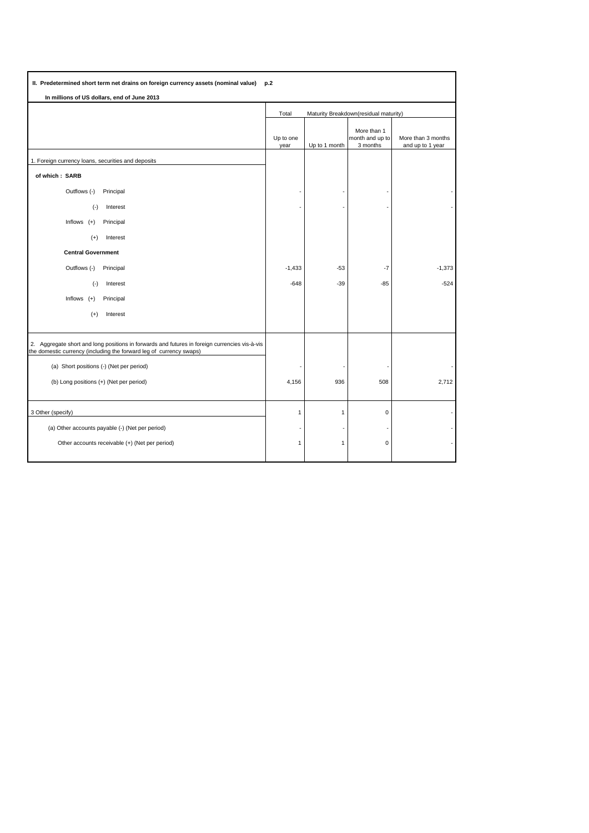| More than 3 months<br>and up to 1 year |
|----------------------------------------|
|                                        |
|                                        |
|                                        |
|                                        |
|                                        |
|                                        |
|                                        |
| $-1,373$                               |
| $-524$                                 |
|                                        |
|                                        |
|                                        |
|                                        |
|                                        |
| 2,712                                  |
|                                        |
|                                        |
|                                        |
|                                        |
|                                        |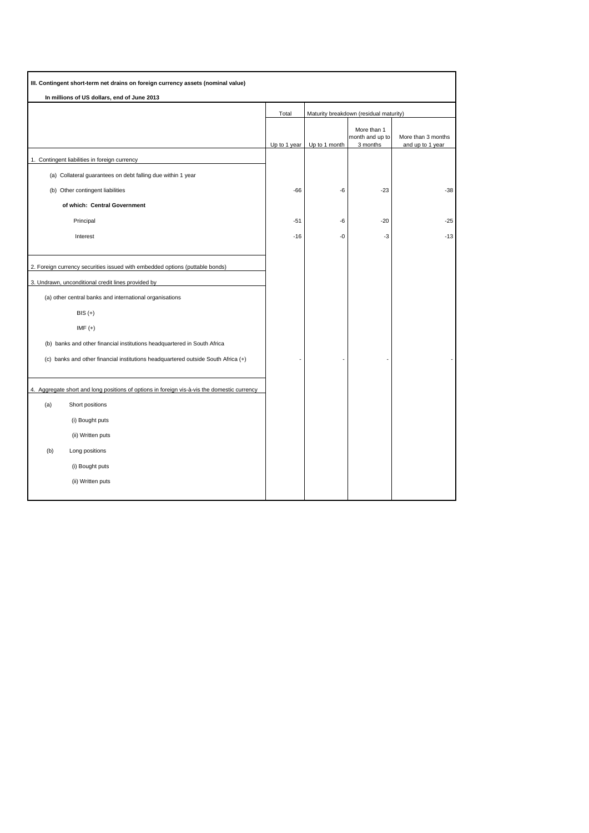| III. Contingent short-term net drains on foreign currency assets (nominal value)<br>In millions of US dollars, end of June 2013 |              |               |                                            |                                        |
|---------------------------------------------------------------------------------------------------------------------------------|--------------|---------------|--------------------------------------------|----------------------------------------|
|                                                                                                                                 |              |               |                                            |                                        |
|                                                                                                                                 | Up to 1 year | Up to 1 month | More than 1<br>month and up to<br>3 months | More than 3 months<br>and up to 1 year |
| 1. Contingent liabilities in foreign currency                                                                                   |              |               |                                            |                                        |
| (a) Collateral guarantees on debt falling due within 1 year                                                                     |              |               |                                            |                                        |
| (b) Other contingent liabilities                                                                                                | $-66$        | -6            | $-23$                                      | $-38$                                  |
| of which: Central Government                                                                                                    |              |               |                                            |                                        |
| Principal                                                                                                                       | $-51$        | -6            | $-20$                                      | $-25$                                  |
| Interest                                                                                                                        | $-16$        | $-0$          | -3                                         | $-13$                                  |
|                                                                                                                                 |              |               |                                            |                                        |
| 2. Foreign currency securities issued with embedded options (puttable bonds)                                                    |              |               |                                            |                                        |
| 3. Undrawn, unconditional credit lines provided by                                                                              |              |               |                                            |                                        |
| (a) other central banks and international organisations                                                                         |              |               |                                            |                                        |
| $BIS (+)$                                                                                                                       |              |               |                                            |                                        |
| $IMF (+)$                                                                                                                       |              |               |                                            |                                        |
| (b) banks and other financial institutions headquartered in South Africa                                                        |              |               |                                            |                                        |
| (c) banks and other financial institutions headquartered outside South Africa (+)                                               |              |               |                                            |                                        |
|                                                                                                                                 |              |               |                                            |                                        |
| 4. Aggregate short and long positions of options in foreign vis-à-vis the domestic currency                                     |              |               |                                            |                                        |
| (a)<br>Short positions                                                                                                          |              |               |                                            |                                        |
| (i) Bought puts                                                                                                                 |              |               |                                            |                                        |
| (ii) Written puts                                                                                                               |              |               |                                            |                                        |
| Long positions<br>(b)                                                                                                           |              |               |                                            |                                        |
| (i) Bought puts                                                                                                                 |              |               |                                            |                                        |
| (ii) Written puts                                                                                                               |              |               |                                            |                                        |
|                                                                                                                                 |              |               |                                            |                                        |